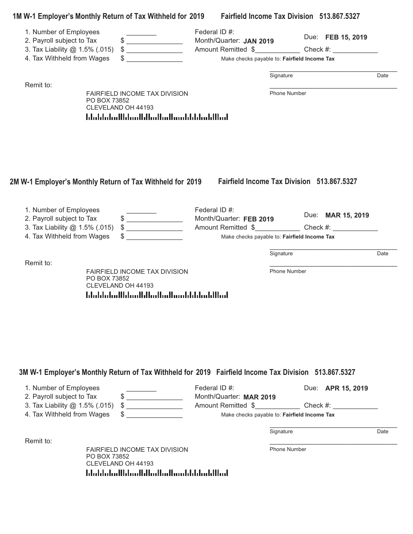|                                                                                                                     |                                    | 1M W-1 Employer's Monthly Return of Tax Withheld for 2019 Fairfield Income Tax Division 513.867.5327                            |                                                                                          |              |                                                                                   |      |
|---------------------------------------------------------------------------------------------------------------------|------------------------------------|---------------------------------------------------------------------------------------------------------------------------------|------------------------------------------------------------------------------------------|--------------|-----------------------------------------------------------------------------------|------|
| 1. Number of Employees<br>2. Payroll subject to Tax<br>3. Tax Liability @ 1.5% (.015)<br>4. Tax Withheld from Wages |                                    | $\frac{1}{2}$<br>$\frac{1}{2}$                                                                                                  | Federal ID #:<br>Month/Quarter: JAN 2019<br>Make checks payable to: Fairfield Income Tax |              | Due: FEB 15, 2019                                                                 |      |
|                                                                                                                     |                                    |                                                                                                                                 |                                                                                          |              |                                                                                   |      |
| Remit to:                                                                                                           |                                    |                                                                                                                                 |                                                                                          | Signature    |                                                                                   | Date |
|                                                                                                                     | PO BOX 73852<br>CLEVELAND OH 44193 | FAIRFIELD INCOME TAX DIVISION<br>المطالبا بمليانا بابستا المطابا استانا المباماتيانا                                            |                                                                                          | Phone Number |                                                                                   |      |
| 1. Number of Employees<br>2. Payroll subject to Tax                                                                 |                                    | 2M W-1 Employer's Monthly Return of Tax Withheld for 2019<br>$\frac{1}{2}$                                                      | Federal ID #:<br>Month/Quarter: FEB 2019                                                 |              | Fairfield Income Tax Division 513.867.5327<br>Due: MAR 15, 2019                   |      |
| 3. Tax Liability @ 1.5% (.015)<br>4. Tax Withheld from Wages                                                        |                                    | $\frac{1}{2}$                                                                                                                   | Make checks payable to: Fairfield Income Tax                                             |              | Amount Remitted \$________________________ Check #: _____________________________ |      |
|                                                                                                                     |                                    |                                                                                                                                 |                                                                                          | Signature    |                                                                                   | Date |
| Remit to:                                                                                                           | PO BOX 73852<br>CLEVELAND OH 44193 | FAIRFIELD INCOME TAX DIVISION<br>المالليان بالبارات بمالم الماليان بالماتان بابتانا المائيليا                                   |                                                                                          | Phone Number |                                                                                   |      |
| 1. Number of Employees<br>2. Payroll subject to Tax<br>3. Tax Liability @ 1.5% (.015)<br>4. Tax Withheld from Wages |                                    | 3M W-1 Employer's Monthly Return of Tax Withheld for 2019 Fairfield Income Tax Division 513.867.5327<br>$\qquad \qquad \bullet$ | Federal ID #:<br>Month/Quarter: MAR 2019<br>Make checks payable to: Fairfield Income Tax |              | Due: APR 15, 2019<br>Amount Remitted \$ Check #:                                  |      |
|                                                                                                                     |                                    |                                                                                                                                 |                                                                                          | Signature    |                                                                                   | Date |
| Remit to:                                                                                                           |                                    | FAIRFIELD INCOME TAX DIVISION                                                                                                   |                                                                                          | Phone Number |                                                                                   |      |

PO BOX 73852 CLEVELAND OH 44193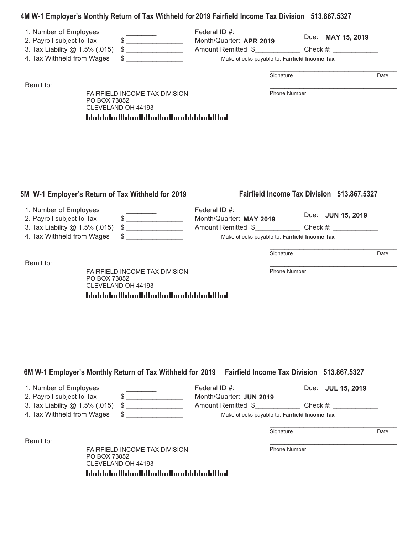# **4M W-1 Employer-s Monthly Return of Tax Withheld for 2019 Fairfield Income Tax Division 513.867.5327**

| 1. Number of Employees<br>\$<br>2. Payroll subject to Tax<br>3. Tax Liability @ 1.5% (.015)<br>S<br>\$<br>4. Tax Withheld from Wages | Federal ID #:<br>Month/Quarter: APR 2019<br>Amount Remitted \$ | Due: MAY 15, 2019<br>Check #:<br>Make checks payable to: Fairfield Income Tax |      |
|--------------------------------------------------------------------------------------------------------------------------------------|----------------------------------------------------------------|-------------------------------------------------------------------------------|------|
|                                                                                                                                      |                                                                | Signature                                                                     | Date |
| <b>FAIRFIELD INCOME TAX DIVISION</b><br>PO BOX 73852<br>CLEVELAND OH 44193<br><u>ldaldalaillilaailillaillailaaililaalillaal</u>      |                                                                | <b>Phone Number</b>                                                           |      |

| 1. Number of Employees            | Federal ID #:                                |             |                          |      |
|-----------------------------------|----------------------------------------------|-------------|--------------------------|------|
| 2. Payroll subject to Tax         | Month/Quarter: MAY 2019                      |             | Due: <b>JUN 15, 2019</b> |      |
| 3. Tax Liability @ 1.5% (.015) \$ | Amount Remitted \$                           | Check $#$ : |                          |      |
| 4. Tax Withheld from Wages        | Make checks payable to: Fairfield Income Tax |             |                          |      |
|                                   |                                              | Signature   |                          | Date |
| Remit to:                         |                                              |             |                          |      |

FAIRFIELD INCOME TAX DIVISION PO BOX 73852 CLEVELAND OH 44193 hlabhahallhlaadhlaallaallaadhhihhahllaal.

5M W-1 Employer's Return of Tax Withheld for 2019

Phone Number

**s Return of Tax Withheld for 2019 Fairfield Income Tax Division 513.867.5327**

**6M W-1 Employer-s Monthly Return of Tax Withheld for 2019 Fairfield Income Tax Division 513.867.5327**

| 1. Number of Employees              | Federal ID #:           | Due: <b>JUL 15, 2019</b>                     |      |
|-------------------------------------|-------------------------|----------------------------------------------|------|
| 2. Payroll subject to Tax           | Month/Quarter: JUN 2019 |                                              |      |
| 3. Tax Liability $@$ 1.5% (.015) \$ | Amount Remitted \$      | Check $#$ :                                  |      |
| 4. Tax Withheld from Wages          |                         | Make checks payable to: Fairfield Income Tax |      |
|                                     |                         |                                              |      |
|                                     |                         | Signature                                    | Date |

Remit to: \_\_\_\_\_\_\_\_\_\_\_\_\_\_\_\_\_\_\_\_\_\_\_\_\_\_\_\_\_\_\_\_\_\_

FAIRFIELD INCOME TAX DIVISION PO BOX 73852 CLEVELAND OH 44193  Phone Number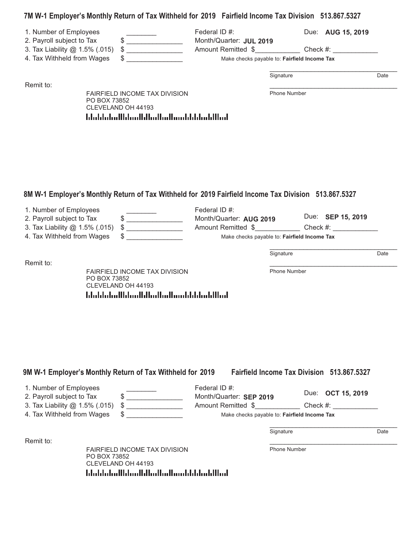### **7M W-1 Employer-s Monthly Return of Tax Withheld for 2019 Fairfield Income Tax Division 513.867.5327**

| 1. Number of Employees         |                                                            | Federal ID $#$ :                             | Due: AUG 15, 2019 |      |
|--------------------------------|------------------------------------------------------------|----------------------------------------------|-------------------|------|
| 2. Payroll subject to Tax      |                                                            | Month/Quarter: JUL 2019                      |                   |      |
| 3. Tax Liability @ 1.5% (.015) | S                                                          | Amount Remitted \$                           | Check #:          |      |
| 4. Tax Withheld from Wages     |                                                            | Make checks payable to: Fairfield Income Tax |                   |      |
|                                |                                                            | Signature                                    |                   | Date |
| Remit to:                      |                                                            |                                              |                   |      |
| PO BOX 73852                   | <b>FAIRFIELD INCOME TAX DIVISION</b><br>CLEVELAND OH 44193 |                                              | Phone Number      |      |

# **8M W-1 Employer-s Monthly Return of Tax Withheld for 2019 Fairfield Income Tax Division 513.867.5327**

| 1. Number of Employees            | Federal ID #:                                |                   |      |
|-----------------------------------|----------------------------------------------|-------------------|------|
| 2. Payroll subject to Tax         | Month/Quarter: AUG 2019                      | Due: SEP 15, 2019 |      |
| 3. Tax Liability @ 1.5% (.015) \$ | Amount Remitted \$                           | Check $#$ :       |      |
| 4. Tax Withheld from Wages        | Make checks payable to: Fairfield Income Tax |                   |      |
|                                   |                                              |                   |      |
|                                   | Signature                                    |                   | Date |

FAIRFIELD INCOME TAX DIVISION PO BOX 73852 CLEVELAND OH 44193 blubbolishinilidi.com/blubbolishinidilinili

blubbolishinilidi.com/blubbolishinidilinili

Phone Number

#### 9M W-1 Employer's Monthly Return of Tax Withheld for 2019 Fairfield Income Tax Division 513.867.5327 1. Number of Employees **Example 20** Federal ID #: 2. Payroll subject to Tax  $\frac{1}{2}$   $\frac{1}{2}$  Month/Quarter: **SEP 2019**<br>3. Tax Liability @ 1.5% (.015)  $\frac{1}{2}$  Amount Remitted  $\frac{1}{2}$ 3. Tax Liability @ 1.5% (.015) \$ \_\_\_\_\_\_\_\_\_\_\_\_\_\_\_\_\_\_\_\_\_\_ Amount Remitted \$ \_\_\_\_\_\_\_\_\_\_\_\_\_ Check #:  $Due:$  **OCT 15, 2019**

4. Tax Withheld from Wages \$ \_\_\_\_\_\_\_\_\_\_\_\_\_\_\_ Make checks payable to: **Fairfield Income Tax**

Signature Date

Remit to: \_\_\_\_\_\_\_\_\_\_\_\_\_\_\_\_\_\_\_\_\_\_\_\_\_\_\_\_\_\_\_\_\_\_

FAIRFIELD INCOME TAX DIVISION PO BOX 73852 CLEVELAND OH 44193 المبالليلومانا بالمومالوبالوماليان ومازال والملطانية

Phone Number

\_\_\_\_\_\_\_\_\_\_\_\_\_\_\_\_\_\_\_\_\_\_\_\_\_\_\_\_\_\_\_\_\_\_

Remit to: \_\_\_\_\_\_\_\_\_\_\_\_\_\_\_\_\_\_\_\_\_\_\_\_\_\_\_\_\_\_\_\_\_\_